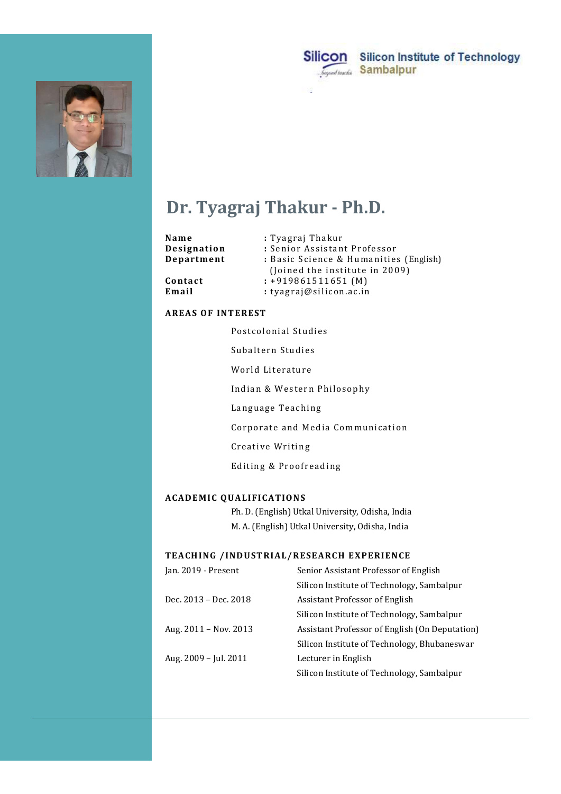



# Dr. Tyagraj Thakur - Ph.D.

|                                                  | Silicon<br><b>Silicon Institute of Technology</b><br><b>Sambalpur</b><br>beyond teachin                                      |  |  |
|--------------------------------------------------|------------------------------------------------------------------------------------------------------------------------------|--|--|
|                                                  |                                                                                                                              |  |  |
| Dr. Tyagraj Thakur - Ph.D.                       |                                                                                                                              |  |  |
| Name<br>Designation<br>Department                | : Tyagraj Thakur<br>: Senior Assistant Professor<br>: Basic Science & Humanities (English)<br>(Joined the institute in 2009) |  |  |
| Contact<br>Email                                 | $: +919861511651(M)$<br>: tyagraj@silicon.ac.in                                                                              |  |  |
| <b>AREAS OF INTEREST</b>                         |                                                                                                                              |  |  |
| Postcolonial Studies                             |                                                                                                                              |  |  |
| Subaltern Studies                                |                                                                                                                              |  |  |
| World Literature                                 |                                                                                                                              |  |  |
| Indian & Western Philosophy                      |                                                                                                                              |  |  |
| Language Teaching                                |                                                                                                                              |  |  |
| Corporate and Media Communication                |                                                                                                                              |  |  |
| Creative Writing                                 |                                                                                                                              |  |  |
| Editing & Proofreading                           |                                                                                                                              |  |  |
| <b>ACADEMIC QUALIFICATIONS</b>                   |                                                                                                                              |  |  |
| Ph. D. (English) Utkal University, Odisha, India |                                                                                                                              |  |  |
| M. A. (English) Utkal University, Odisha, India  |                                                                                                                              |  |  |
| TEACHING /INDUSTRIAL/RESEARCH EXPERIENCE         |                                                                                                                              |  |  |

|  | <b>AREAS OF INTEREST</b>                         |                                                |  |  |
|--|--------------------------------------------------|------------------------------------------------|--|--|
|  | Postcolonial Studies                             |                                                |  |  |
|  | Subaltern Studies<br>World Literature            |                                                |  |  |
|  |                                                  |                                                |  |  |
|  | Indian & Western Philosophy                      |                                                |  |  |
|  | Language Teaching                                |                                                |  |  |
|  | Corporate and Media Communication                |                                                |  |  |
|  | Creative Writing                                 |                                                |  |  |
|  | Editing & Proofreading                           |                                                |  |  |
|  |                                                  |                                                |  |  |
|  | <b>ACADEMIC QUALIFICATIONS</b>                   |                                                |  |  |
|  | Ph. D. (English) Utkal University, Odisha, India |                                                |  |  |
|  | M. A. (English) Utkal University, Odisha, India  |                                                |  |  |
|  | TEACHING / INDUSTRIAL/RESEARCH EXPERIENCE        |                                                |  |  |
|  | Jan. 2019 - Present                              | Senior Assistant Professor of English          |  |  |
|  |                                                  | Silicon Institute of Technology, Sambalpur     |  |  |
|  | Dec. 2013 - Dec. 2018                            | Assistant Professor of English                 |  |  |
|  |                                                  | Silicon Institute of Technology, Sambalpur     |  |  |
|  | Aug. 2011 - Nov. 2013                            | Assistant Professor of English (On Deputation) |  |  |
|  |                                                  | Silicon Institute of Technology, Bhubaneswar   |  |  |
|  | Aug. 2009 - Jul. 2011                            | Lecturer in English                            |  |  |
|  |                                                  | Silicon Institute of Technology, Sambalpur     |  |  |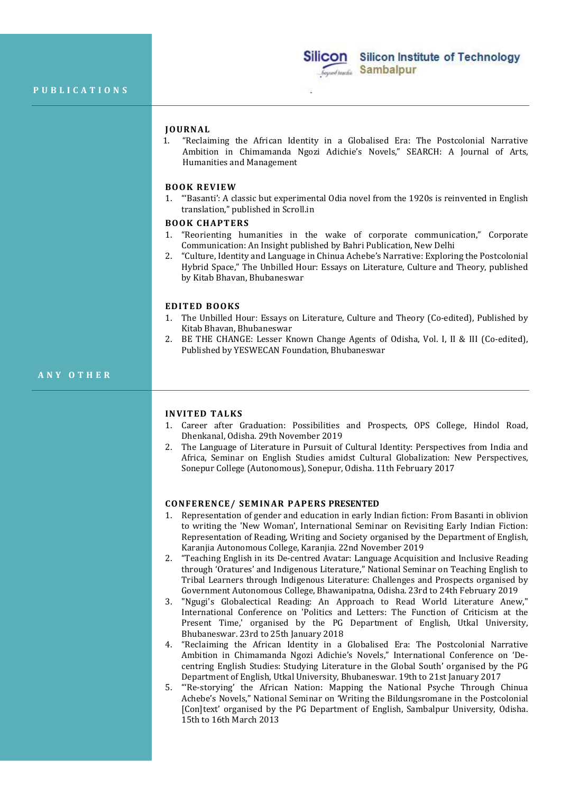

Silicon Silicon Institute of Technology<br>
PUBLICATIONS<br>
JOURNAL<br>
JOURNAL<br>
1. "Reclaiming the African Identity in a Globalised Era: The Postcolonial Narration<br>
Ambition in Chimamanda Ngozi Adichie's Novels," SEARCH: A Journa 1. "Reclaiming the African Identity in a Globalised Era: The Postcolonial Narrative Ambition in Chimamanda Ngozi Adichie's Novels," SEARCH: A Journal of Arts, Humanities and Management **Sillicon** Silicon Institute of Technology<br>
PUBLICATIONS<br>
PUBLICATIONS<br>
DOURNAL<br>
DOURNAL<br>
DOURNAL<br>
L. "Reclaiming the African Identity in a Globalised Era: The Postcolonial Narrative<br>
Ambition in Chimamanda Ngozi Adichie' **Sillicon** Sillicon Institute of Technology<br>
PUBLICATIONS<br>
IOURNAL<br>
1. "Reclaiming the African Identity in a Globalised Era: The Postcolonial Narrative<br>
Ambition in Chimamanda Ngozi Adichie's Novels," SEARCH: A Journal of **EXECUTE IN THE CONSUMPTER CONSUMPTERED IN A SUBARDOR CONSUMPTED BOOKS LESSER THE UNIVERSITY CONSUMPTED BOOKS LET THE UNIVERSITY CONSUMPTED BOOKS THE UNIVERSITY OF SUBARDOR CONSUMPTED BOOKS THE UNIVERSITY OF THE UNIVERSITY JOURNAL**<br>
1. "Reclaiming the African Identity in a Globalised Era: 1<br>
2. Ambition in Chimamanda Ngozi Adichie's Novels," SEA<br>
Humanities and Management<br>
1. "Basanti': A classic but experimental Odia novel from the 19:<br>
1.

1. "'Basanti': A classic but experimental Odia novel from the 1920s is reinvented in English translation," published in Scroll.in

- 1. "Reorienting humanities in the wake of corporate communication," Corporate Communication: An Insight published by Bahri Publication, New Delhi
- 2. "Culture, Identity and Language in Chinua Achebe's Narrative: Exploring the Postcolonial Hybrid Space," The Unbilled Hour: Essays on Literature, Culture and Theory, published by Kitab Bhavan, Bhubaneswar

- 1. The Unbilled Hour: Essays on Literature, Culture and Theory (Co-edited), Published by Kitab Bhavan, Bhubaneswar
- 2. BE THE CHANGE: Lesser Known Change Agents of Odisha, Vol. I, II & III (Co-edited), Published by YESWECAN Foundation, Bhubaneswar

- Dhenkanal, Odisha. 29th November 2019
- HERN TERN TERN THE CHANGE: Lesser Known Change Agents of Ochiparticle Diversion, 2001<br>
IN Tectrication: Published in Strelland Book CHAPTERS<br>
1. Tectrication: An Insight published by Bahri Publication, New Delhi<br>
2. Cultur 2. The Language of Literature in Pursuit of Cultural Identity: Perspectives from India and Africa, Seminar on English Studies amidst Cultural Globalization: New Perspectives, Sonepur College (Autonomous), Sonepur, Odisha. 11th February 2017

- Entropy and English in the matter of the transfer in the state and the term of Theory, published<br>
thy Midto Bhavan, Bhubaneswar<br>
Context Context Colliner and Theory, published<br>
DY Kitab Bhavan, Bhubaneswar<br>
CIDIFED BOOKS<br> 1. Representation of gender and education in early Indian fiction: From Basanti in oblivion to writing the 'New Woman', International Seminar on Revisiting Early Indian Fiction: Representation of Reading, Writing and Society organised by the Department of English, Karanjia Autonomous College, Karanjia. 22nd November 2019
	- 2. "Teaching English in its De-centred Avatar: Language Acquisition and Inclusive Reading through 'Oratures' and Indigenous Literature," National Seminar on Teaching English to Tribal Learners through Indigenous Literature: Challenges and Prospects organised by Government Autonomous College, Bhawanipatna, Odisha. 23rd to 24th February 2019
	- 3. "Ngugi's Globalectical Reading: An Approach to Read World Literature Anew," International Conference on 'Politics and Letters: The Function of Criticism at the Present Time,' organised by the PG Department of English, Utkal University, Bhubaneswar. 23rd to 25th January 2018
	- 4. "Reclaiming the African Identity in a Globalised Era: The Postcolonial Narrative Ambition in Chimamanda Ngozi Adichie's Novels," International Conference on 'Decentring English Studies: Studying Literature in the Global South' organised by the PG Department of English, Utkal University, Bhubaneswar. 19th to 21st January 2017
	- 5. "'Re-storying' the African Nation: Mapping the National Psyche Through Chinua Achebe's Novels," National Seminar on 'Writing the Bildungsromane in the Postcolonial [Con]text' organised by the PG Department of English, Sambalpur University, Odisha. 15th to 16th March 2013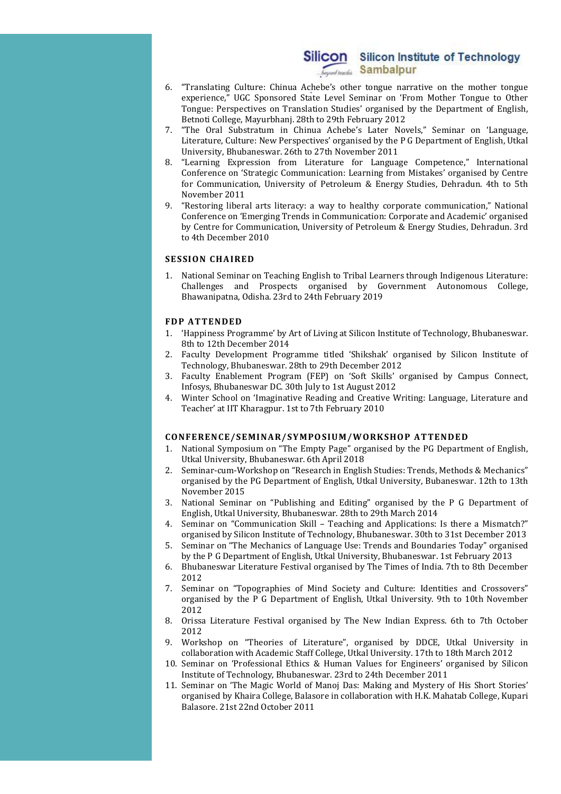- 6. "Translating Culture: Chinua Achebe's other tongue narrative on the mother tongue experience," UGC Sponsored State Level Seminar on 'From Mother Tongue to Other Tongue: Perspectives on Translation Studies' organised by the Department of English, Betnoti College, Mayurbhanj. 28th to 29th February 2012
- 7. "The Oral Substratum in Chinua Achebe's Later Novels," Seminar on 'Language, Literature, Culture: New Perspectives' organised by the P G Department of English, Utkal University, Bhubaneswar. 26th to 27th November 2011
- 8. "Learning Expression from Literature for Language Competence," International Conference on 'Strategic Communication: Learning from Mistakes' organised by Centre for Communication, University of Petroleum & Energy Studies, Dehradun. 4th to 5th November 2011
- 9. "Restoring liberal arts literacy: a way to healthy corporate communication," National Conference on 'Emerging Trends in Communication: Corporate and Academic' organised by Centre for Communication, University of Petroleum & Energy Studies, Dehradun. 3rd to 4th December 2010 **Silicon Silicon Silicon Institute of Technology**<br>  $\frac{1}{2\pi\sqrt{3}\text{sin\theta}}$  **Sambalpur**<br>
6. "Translating Culture: Chinaa Achebe's other tongue arrative on the mohler tongue<br>
representing the Expectation Simulation Simu 6. "Translating Culture: Chinas Achebe's other tongue narrative on the mother tongue experience; UCC Sponsored State Level Seminar on Trom Mother Tongue to Other Tongue Department of English, Denote Chinese Correlation St November 2011<br>
Thestoring liberal arts literacy: a way to healthy corporate communication," National<br>
Conference on Emerging Trends in Communication Corporate and Academic organised<br>
by Centre for Communication, University

1. National Seminar on Teaching English to Tribal Learners through Indigenous Literature: Challenges and Prospects organised by Government Autonomous College, Bhawanipatna, Odisha. 23rd to 24th February 2019

- 1. 'Happiness Programme' by Art of Living at Silicon Institute of Technology, Bhubaneswar. 8th to 12th December 2014
- 2. Faculty Development Programme titled 'Shikshak' organised by Silicon Institute of Technology, Bhubaneswar. 28th to 29th December 2012
- 3. Faculty Enablement Program (FEP) on 'Soft Skills' organised by Campus Connect, Infosys, Bhubaneswar DC. 30th July to 1st August 2012
- 4. Winter School on 'Imaginative Reading and Creative Writing: Language, Literature and Teacher' at IIT Kharagpur. 1st to 7th February 2010

- 1. National Symposium on "The Empty Page" organised by the PG Department of English, Utkal University, Bhubaneswar. 6th April 2018
- 2. Seminar-cum-Workshop on "Research in English Studies: Trends, Methods & Mechanics" organised by the PG Department of English, Utkal University, Bubaneswar. 12th to 13th November 2015
- 3. National Seminar on "Publishing and Editing" organised by the P G Department of English, Utkal University, Bhubaneswar. 28th to 29th March 2014
- 4. Seminar on "Communication Skill Teaching and Applications: Is there a Mismatch?" organised by Silicon Institute of Technology, Bhubaneswar. 30th to 31st December 2013
- 5. Seminar on "The Mechanics of Language Use: Trends and Boundaries Today" organised by the P G Department of English, Utkal University, Bhubaneswar. 1st February 2013
- 6. Bhubaneswar Literature Festival organised by The Times of India. 7th to 8th December 2012
- 7. Seminar on "Topographies of Mind Society and Culture: Identities and Crossovers" organised by the P G Department of English, Utkal University. 9th to 10th November 2012
- 8. Orissa Literature Festival organised by The New Indian Express. 6th to 7th October 2012
- 9. Workshop on "Theories of Literature", organised by DDCE, Utkal University in collaboration with Academic Staff College, Utkal University. 17th to 18th March 2012
- 10. Seminar on 'Professional Ethics & Human Values for Engineers' organised by Silicon Institute of Technology, Bhubaneswar. 23rd to 24th December 2011
- 11. Seminar on 'The Magic World of Manoj Das: Making and Mystery of His Short Stories' organised by Khaira College, Balasore in collaboration with H.K. Mahatab College, Kupari Balasore. 21st 22nd October 2011